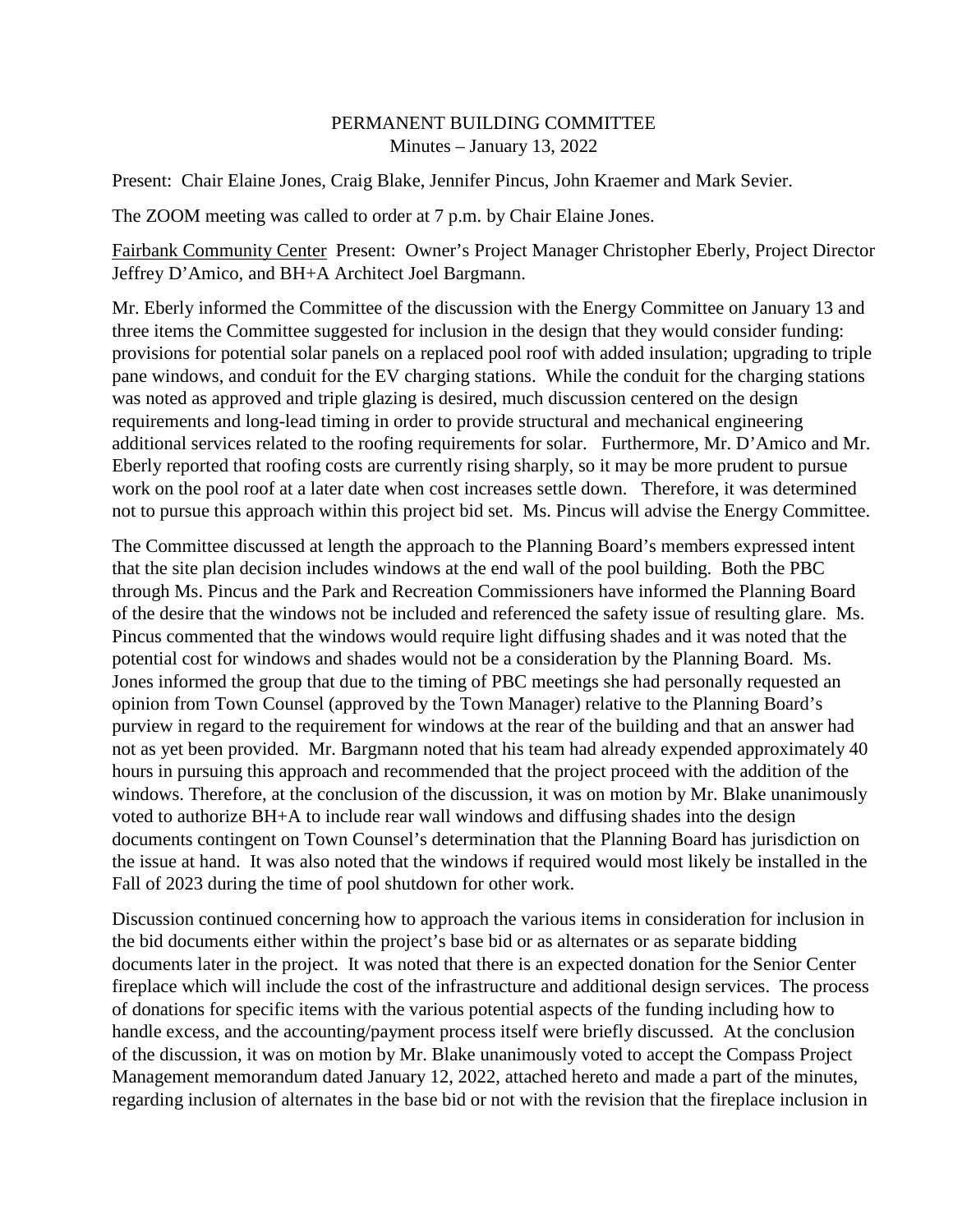## PERMANENT BUILDING COMMITTEE Minutes – January 13, 2022

Present: Chair Elaine Jones, Craig Blake, Jennifer Pincus, John Kraemer and Mark Sevier.

The ZOOM meeting was called to order at 7 p.m. by Chair Elaine Jones.

Fairbank Community Center Present: Owner's Project Manager Christopher Eberly, Project Director Jeffrey D'Amico, and BH+A Architect Joel Bargmann.

Mr. Eberly informed the Committee of the discussion with the Energy Committee on January 13 and three items the Committee suggested for inclusion in the design that they would consider funding: provisions for potential solar panels on a replaced pool roof with added insulation; upgrading to triple pane windows, and conduit for the EV charging stations. While the conduit for the charging stations was noted as approved and triple glazing is desired, much discussion centered on the design requirements and long-lead timing in order to provide structural and mechanical engineering additional services related to the roofing requirements for solar. Furthermore, Mr. D'Amico and Mr. Eberly reported that roofing costs are currently rising sharply, so it may be more prudent to pursue work on the pool roof at a later date when cost increases settle down. Therefore, it was determined not to pursue this approach within this project bid set. Ms. Pincus will advise the Energy Committee.

The Committee discussed at length the approach to the Planning Board's members expressed intent that the site plan decision includes windows at the end wall of the pool building. Both the PBC through Ms. Pincus and the Park and Recreation Commissioners have informed the Planning Board of the desire that the windows not be included and referenced the safety issue of resulting glare. Ms. Pincus commented that the windows would require light diffusing shades and it was noted that the potential cost for windows and shades would not be a consideration by the Planning Board. Ms. Jones informed the group that due to the timing of PBC meetings she had personally requested an opinion from Town Counsel (approved by the Town Manager) relative to the Planning Board's purview in regard to the requirement for windows at the rear of the building and that an answer had not as yet been provided. Mr. Bargmann noted that his team had already expended approximately 40 hours in pursuing this approach and recommended that the project proceed with the addition of the windows. Therefore, at the conclusion of the discussion, it was on motion by Mr. Blake unanimously voted to authorize BH+A to include rear wall windows and diffusing shades into the design documents contingent on Town Counsel's determination that the Planning Board has jurisdiction on the issue at hand. It was also noted that the windows if required would most likely be installed in the Fall of 2023 during the time of pool shutdown for other work.

Discussion continued concerning how to approach the various items in consideration for inclusion in the bid documents either within the project's base bid or as alternates or as separate bidding documents later in the project. It was noted that there is an expected donation for the Senior Center fireplace which will include the cost of the infrastructure and additional design services. The process of donations for specific items with the various potential aspects of the funding including how to handle excess, and the accounting/payment process itself were briefly discussed. At the conclusion of the discussion, it was on motion by Mr. Blake unanimously voted to accept the Compass Project Management memorandum dated January 12, 2022, attached hereto and made a part of the minutes, regarding inclusion of alternates in the base bid or not with the revision that the fireplace inclusion in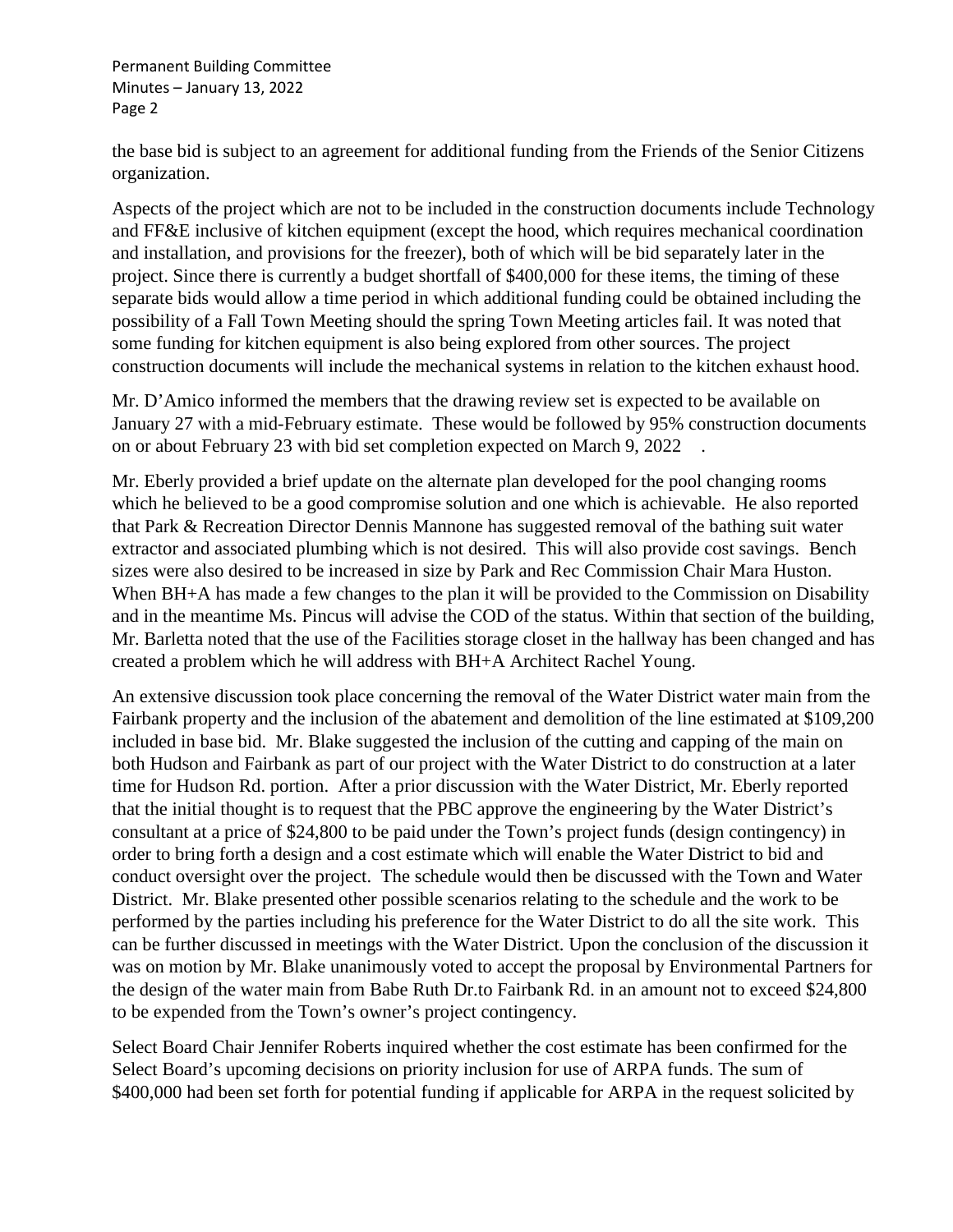Permanent Building Committee Minutes – January 13, 2022 Page 2

the base bid is subject to an agreement for additional funding from the Friends of the Senior Citizens organization.

Aspects of the project which are not to be included in the construction documents include Technology and FF&E inclusive of kitchen equipment (except the hood, which requires mechanical coordination and installation, and provisions for the freezer), both of which will be bid separately later in the project. Since there is currently a budget shortfall of \$400,000 for these items, the timing of these separate bids would allow a time period in which additional funding could be obtained including the possibility of a Fall Town Meeting should the spring Town Meeting articles fail. It was noted that some funding for kitchen equipment is also being explored from other sources. The project construction documents will include the mechanical systems in relation to the kitchen exhaust hood.

Mr. D'Amico informed the members that the drawing review set is expected to be available on January 27 with a mid-February estimate. These would be followed by 95% construction documents on or about February 23 with bid set completion expected on March 9, 2022 .

Mr. Eberly provided a brief update on the alternate plan developed for the pool changing rooms which he believed to be a good compromise solution and one which is achievable. He also reported that Park & Recreation Director Dennis Mannone has suggested removal of the bathing suit water extractor and associated plumbing which is not desired. This will also provide cost savings. Bench sizes were also desired to be increased in size by Park and Rec Commission Chair Mara Huston. When BH+A has made a few changes to the plan it will be provided to the Commission on Disability and in the meantime Ms. Pincus will advise the COD of the status. Within that section of the building, Mr. Barletta noted that the use of the Facilities storage closet in the hallway has been changed and has created a problem which he will address with BH+A Architect Rachel Young.

An extensive discussion took place concerning the removal of the Water District water main from the Fairbank property and the inclusion of the abatement and demolition of the line estimated at \$109,200 included in base bid. Mr. Blake suggested the inclusion of the cutting and capping of the main on both Hudson and Fairbank as part of our project with the Water District to do construction at a later time for Hudson Rd. portion. After a prior discussion with the Water District, Mr. Eberly reported that the initial thought is to request that the PBC approve the engineering by the Water District's consultant at a price of \$24,800 to be paid under the Town's project funds (design contingency) in order to bring forth a design and a cost estimate which will enable the Water District to bid and conduct oversight over the project. The schedule would then be discussed with the Town and Water District. Mr. Blake presented other possible scenarios relating to the schedule and the work to be performed by the parties including his preference for the Water District to do all the site work. This can be further discussed in meetings with the Water District. Upon the conclusion of the discussion it was on motion by Mr. Blake unanimously voted to accept the proposal by Environmental Partners for the design of the water main from Babe Ruth Dr.to Fairbank Rd. in an amount not to exceed \$24,800 to be expended from the Town's owner's project contingency.

Select Board Chair Jennifer Roberts inquired whether the cost estimate has been confirmed for the Select Board's upcoming decisions on priority inclusion for use of ARPA funds. The sum of \$400,000 had been set forth for potential funding if applicable for ARPA in the request solicited by